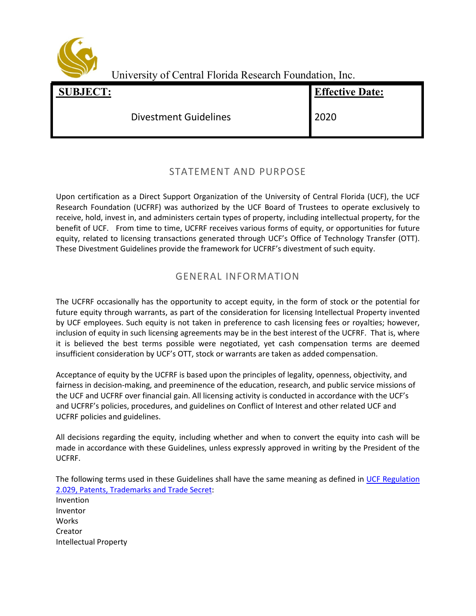

University of Central Florida Research Foundation, Inc.

| <b>SUBJECT:</b> | -                            | <b>Effective Date:</b> |
|-----------------|------------------------------|------------------------|
|                 | <b>Divestment Guidelines</b> | 2020                   |

## STATEMENT AND PURPOSE

Upon certification as a Direct Support Organization of the University of Central Florida (UCF), the UCF Research Foundation (UCFRF) was authorized by the UCF Board of Trustees to operate exclusively to receive, hold, invest in, and administers certain types of property, including intellectual property, for the benefit of UCF. From time to time, UCFRF receives various forms of equity, or opportunities for future equity, related to licensing transactions generated through UCF's Office of Technology Transfer (OTT). These Divestment Guidelines provide the framework for UCFRF's divestment of such equity.

## GENERAL INFORMATION

The UCFRF occasionally has the opportunity to accept equity, in the form of stock or the potential for future equity through warrants, as part of the consideration for licensing Intellectual Property invented by UCF employees. Such equity is not taken in preference to cash licensing fees or royalties; however, inclusion of equity in such licensing agreements may be in the best interest of the UCFRF. That is, where it is believed the best terms possible were negotiated, yet cash compensation terms are deemed insufficient consideration by UCF's OTT, stock or warrants are taken as added compensation.

Acceptance of equity by the UCFRF is based upon the principles of legality, openness, objectivity, and fairness in decision-making, and preeminence of the education, research, and public service missions of the UCF and UCFRF over financial gain. All licensing activity is conducted in accordance with the UCF's and UCFRF's policies, procedures, and guidelines on Conflict of Interest and other related UCF and UCFRF policies and guidelines.

All decisions regarding the equity, including whether and when to convert the equity into cash will be made in accordance with these Guidelines, unless expressly approved in writing by the President of the UCFRF.

The following terms used in these Guidelines shall have the same meaning as defined in UCF Regulation [2.029, Patents, Trademarks and Trade Secret:](https://regulations.ucf.edu/docs/notices/2029PatentsTrademarksSecretsNov11FINAL_001.pdf) Invention Inventor Works Creator Intellectual Property